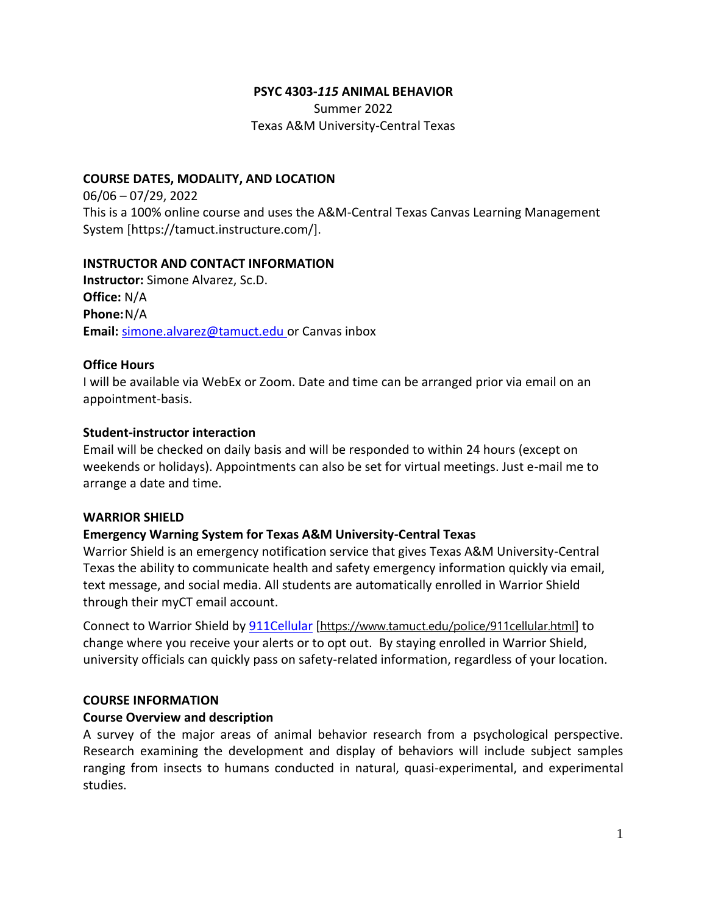#### **PSYC 4303-***115* **ANIMAL BEHAVIOR**

Summer 2022 Texas A&M University-Central Texas

#### **COURSE DATES, MODALITY, AND LOCATION**

06/06 – 07/29, 2022 This is a 100% online course and uses the A&M-Central Texas Canvas Learning Management System [https://tamuct.instructure.com/].

#### **INSTRUCTOR AND CONTACT INFORMATION**

**Instructor:** Simone Alvarez, Sc.D. **Office:** N/A **Phone:**N/A **Email:** [simone.alvarez@tamuct.edu](mailto:simone.alvarez@tamuct.edu) or Canvas inbox

#### **Office Hours**

I will be available via WebEx or Zoom. Date and time can be arranged prior via email on an appointment-basis.

#### **Student-instructor interaction**

Email will be checked on daily basis and will be responded to within 24 hours (except on weekends or holidays). Appointments can also be set for virtual meetings. Just e-mail me to arrange a date and time.

#### **WARRIOR SHIELD**

### **Emergency Warning System for Texas A&M University-Central Texas**

Warrior Shield is an emergency notification service that gives Texas A&M University-Central Texas the ability to communicate health and safety emergency information quickly via email, text message, and social media. All students are automatically enrolled in Warrior Shield through their myCT email account.

Connect to Warrior Shield b[y 911Cellular](https://www.tamuct.edu/police/911cellular.html) [<https://www.tamuct.edu/police/911cellular.html>] to change where you receive your alerts or to opt out. By staying enrolled in Warrior Shield, university officials can quickly pass on safety-related information, regardless of your location.

#### **COURSE INFORMATION**

#### **Course Overview and description**

A survey of the major areas of animal behavior research from a psychological perspective. Research examining the development and display of behaviors will include subject samples ranging from insects to humans conducted in natural, quasi-experimental, and experimental studies.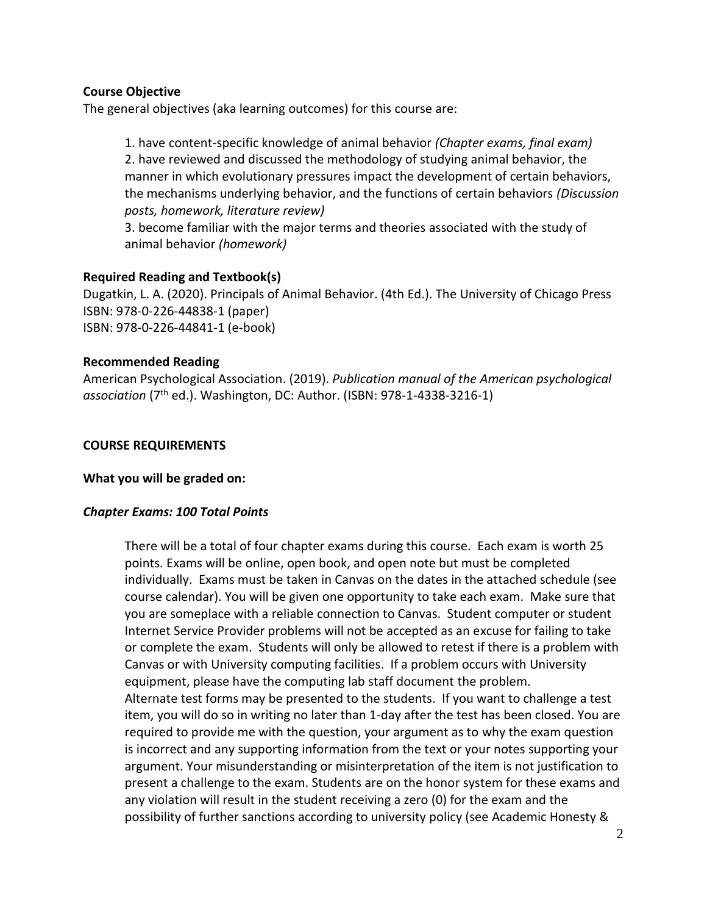### **Course Objective**

The general objectives (aka learning outcomes) for this course are:

1. have content-specific knowledge of animal behavior *(Chapter exams, final exam)* 2. have reviewed and discussed the methodology of studying animal behavior, the manner in which evolutionary pressures impact the development of certain behaviors, the mechanisms underlying behavior, and the functions of certain behaviors *(Discussion posts, homework, literature review)*

3. become familiar with the major terms and theories associated with the study of animal behavior *(homework)*

### **Required Reading and Textbook(s)**

Dugatkin, L. A. (2020). Principals of Animal Behavior. (4th Ed.). The University of Chicago Press ISBN: 978-0-226-44838-1 (paper) ISBN: 978-0-226-44841-1 (e-book)

### **Recommended Reading**

American Psychological Association. (2019). *Publication manual of the American psychological*  association (7<sup>th</sup> ed.). Washington, DC: Author. (ISBN: 978-1-4338-3216-1)

### **COURSE REQUIREMENTS**

### **What you will be graded on:**

# *Chapter Exams: 100 Total Points*

There will be a total of four chapter exams during this course. Each exam is worth 25 points. Exams will be online, open book, and open note but must be completed individually. Exams must be taken in Canvas on the dates in the attached schedule (see course calendar). You will be given one opportunity to take each exam. Make sure that you are someplace with a reliable connection to Canvas. Student computer or student Internet Service Provider problems will not be accepted as an excuse for failing to take or complete the exam. Students will only be allowed to retest if there is a problem with Canvas or with University computing facilities. If a problem occurs with University equipment, please have the computing lab staff document the problem.

Alternate test forms may be presented to the students. If you want to challenge a test item, you will do so in writing no later than 1-day after the test has been closed. You are required to provide me with the question, your argument as to why the exam question is incorrect and any supporting information from the text or your notes supporting your argument. Your misunderstanding or misinterpretation of the item is not justification to present a challenge to the exam. Students are on the honor system for these exams and any violation will result in the student receiving a zero (0) for the exam and the possibility of further sanctions according to university policy (see Academic Honesty &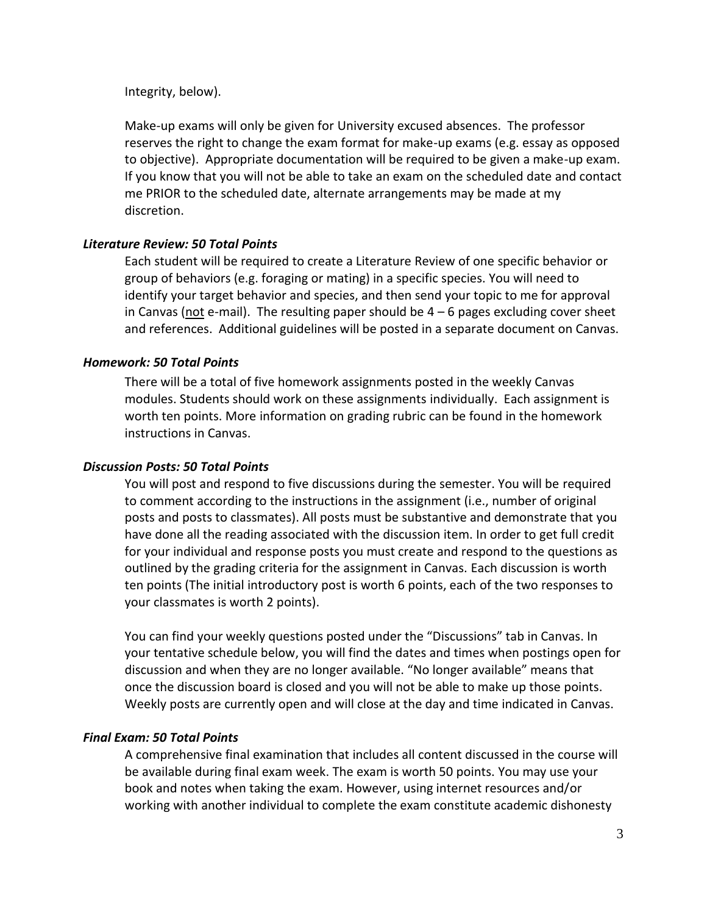Integrity, below).

Make-up exams will only be given for University excused absences. The professor reserves the right to change the exam format for make-up exams (e.g. essay as opposed to objective). Appropriate documentation will be required to be given a make-up exam. If you know that you will not be able to take an exam on the scheduled date and contact me PRIOR to the scheduled date, alternate arrangements may be made at my discretion.

### *Literature Review: 50 Total Points*

Each student will be required to create a Literature Review of one specific behavior or group of behaviors (e.g. foraging or mating) in a specific species. You will need to identify your target behavior and species, and then send your topic to me for approval in Canvas (not e-mail). The resulting paper should be  $4-6$  pages excluding cover sheet and references. Additional guidelines will be posted in a separate document on Canvas.

### *Homework: 50 Total Points*

There will be a total of five homework assignments posted in the weekly Canvas modules. Students should work on these assignments individually. Each assignment is worth ten points. More information on grading rubric can be found in the homework instructions in Canvas.

#### *Discussion Posts: 50 Total Points*

You will post and respond to five discussions during the semester. You will be required to comment according to the instructions in the assignment (i.e., number of original posts and posts to classmates). All posts must be substantive and demonstrate that you have done all the reading associated with the discussion item. In order to get full credit for your individual and response posts you must create and respond to the questions as outlined by the grading criteria for the assignment in Canvas. Each discussion is worth ten points (The initial introductory post is worth 6 points, each of the two responses to your classmates is worth 2 points).

You can find your weekly questions posted under the "Discussions" tab in Canvas. In your tentative schedule below, you will find the dates and times when postings open for discussion and when they are no longer available. "No longer available" means that once the discussion board is closed and you will not be able to make up those points. Weekly posts are currently open and will close at the day and time indicated in Canvas.

### *Final Exam: 50 Total Points*

A comprehensive final examination that includes all content discussed in the course will be available during final exam week. The exam is worth 50 points. You may use your book and notes when taking the exam. However, using internet resources and/or working with another individual to complete the exam constitute academic dishonesty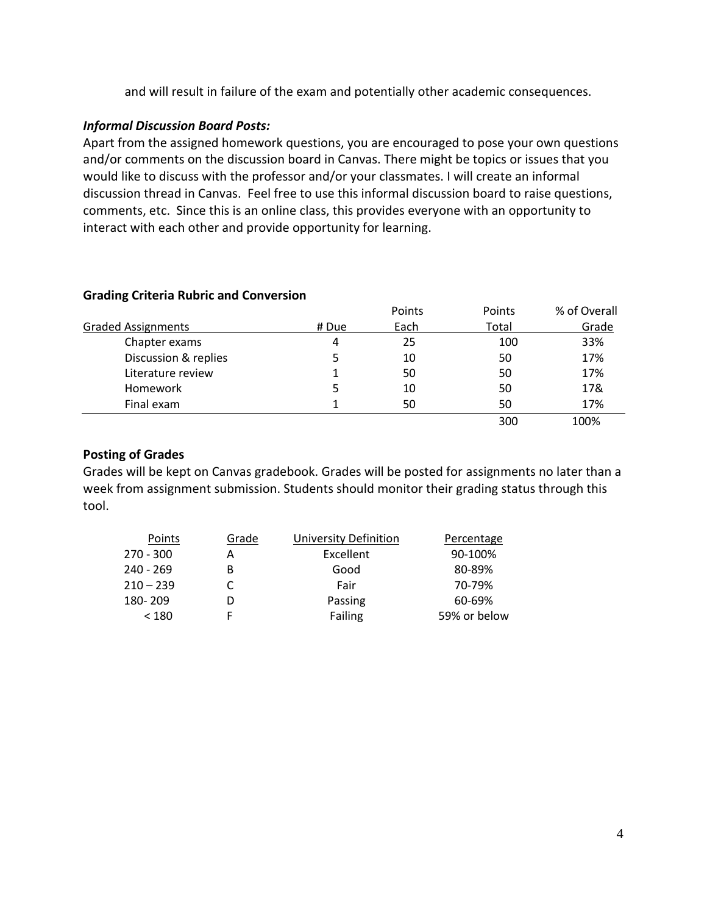and will result in failure of the exam and potentially other academic consequences.

### *Informal Discussion Board Posts:*

Apart from the assigned homework questions, you are encouraged to pose your own questions and/or comments on the discussion board in Canvas. There might be topics or issues that you would like to discuss with the professor and/or your classmates. I will create an informal discussion thread in Canvas. Feel free to use this informal discussion board to raise questions, comments, etc. Since this is an online class, this provides everyone with an opportunity to interact with each other and provide opportunity for learning.

|                           |       | Points | Points | % of Overall |
|---------------------------|-------|--------|--------|--------------|
| <b>Graded Assignments</b> | # Due | Each   | Total  | Grade        |
| Chapter exams             | 4     | 25     | 100    | 33%          |
| Discussion & replies      |       | 10     | 50     | 17%          |
| Literature review         |       | 50     | 50     | 17%          |
| Homework                  |       | 10     | 50     | 17&          |
| Final exam                |       | 50     | 50     | 17%          |
|                           |       |        | 300    | 100%         |

# **Grading Criteria Rubric and Conversion**

### **Posting of Grades**

Grades will be kept on Canvas gradebook. Grades will be posted for assignments no later than a week from assignment submission. Students should monitor their grading status through this tool.

| Points      | Grade | University Definition | Percentage   |
|-------------|-------|-----------------------|--------------|
| $270 - 300$ | А     | Excellent             | 90-100%      |
| $240 - 269$ | B     | Good                  | 80-89%       |
| $210 - 239$ |       | Fair                  | 70-79%       |
| 180-209     |       | Passing               | 60-69%       |
| < 180       |       | Failing               | 59% or below |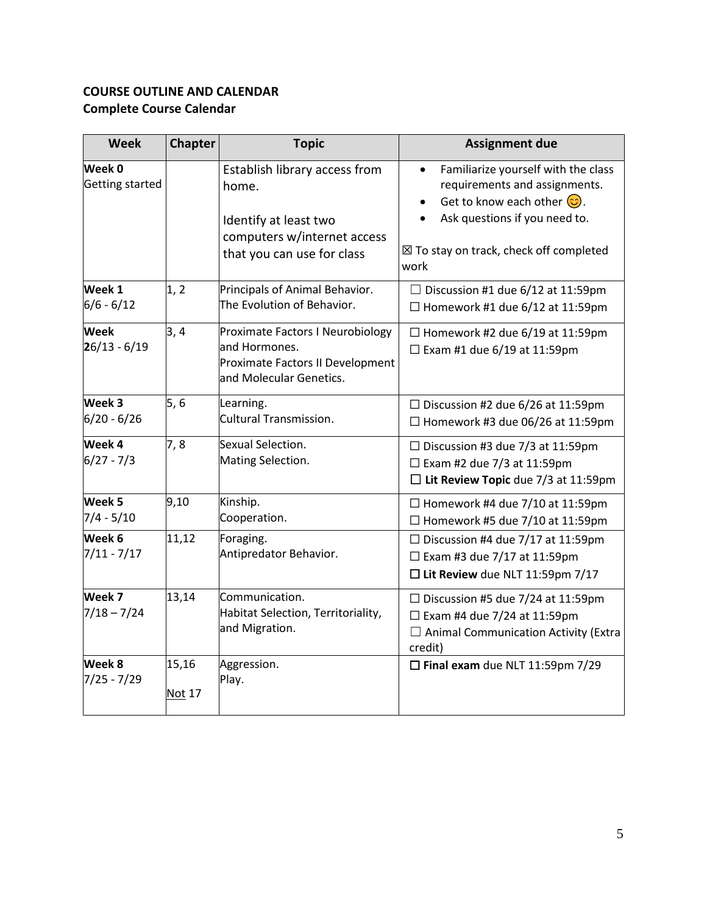# **COURSE OUTLINE AND CALENDAR Complete Course Calendar**

| <b>Week</b>                   | Chapter                | <b>Topic</b>                                                                                                                 | <b>Assignment due</b>                                                                                                                                                                                                            |
|-------------------------------|------------------------|------------------------------------------------------------------------------------------------------------------------------|----------------------------------------------------------------------------------------------------------------------------------------------------------------------------------------------------------------------------------|
| Week 0<br>Getting started     |                        | Establish library access from<br>home.<br>Identify at least two<br>computers w/internet access<br>that you can use for class | Familiarize yourself with the class<br>$\bullet$<br>requirements and assignments.<br>Get to know each other $\odot$ .<br>$\bullet$<br>Ask questions if you need to.<br>$\boxtimes$ To stay on track, check off completed<br>work |
| Week 1<br>$6/6 - 6/12$        | 1, 2                   | Principals of Animal Behavior.<br>The Evolution of Behavior.                                                                 | $\Box$ Discussion #1 due 6/12 at 11:59pm<br>$\Box$ Homework #1 due 6/12 at 11:59pm                                                                                                                                               |
| <b>Week</b><br>$26/13 - 6/19$ | 3,4                    | Proximate Factors I Neurobiology<br>and Hormones.<br>Proximate Factors II Development<br>and Molecular Genetics.             | $\Box$ Homework #2 due 6/19 at 11:59pm<br>$\Box$ Exam #1 due 6/19 at 11:59pm                                                                                                                                                     |
| Week 3<br>$6/20 - 6/26$       | 5, 6                   | Learning.<br>Cultural Transmission.                                                                                          | $\Box$ Discussion #2 due 6/26 at 11:59pm<br>$\Box$ Homework #3 due 06/26 at 11:59pm                                                                                                                                              |
| Week 4<br>$6/27 - 7/3$        | 7,8                    | Sexual Selection.<br>Mating Selection.                                                                                       | $\Box$ Discussion #3 due 7/3 at 11:59pm<br>$\Box$ Exam #2 due 7/3 at 11:59pm<br>$\Box$ Lit Review Topic due 7/3 at 11:59pm                                                                                                       |
| Week 5<br>$7/4 - 5/10$        | 9,10                   | Kinship.<br>Cooperation.                                                                                                     | $\Box$ Homework #4 due 7/10 at 11:59pm<br>$\Box$ Homework #5 due 7/10 at 11:59pm                                                                                                                                                 |
| Week 6<br>$7/11 - 7/17$       | 11,12                  | Foraging.<br>Antipredator Behavior.                                                                                          | $\Box$ Discussion #4 due 7/17 at 11:59pm<br>$\Box$ Exam #3 due 7/17 at 11:59pm<br>$\square$ Lit Review due NLT 11:59pm 7/17                                                                                                      |
| Week 7<br>$7/18 - 7/24$       | 13,14                  | Communication.<br>Habitat Selection, Territoriality,<br>and Migration.                                                       | $\Box$ Discussion #5 due 7/24 at 11:59pm<br>$\Box$ Exam #4 due 7/24 at 11:59pm<br>$\Box$ Animal Communication Activity (Extra<br>credit)                                                                                         |
| Week 8<br>$7/25 - 7/29$       | 15,16<br><b>Not 17</b> | Aggression.<br>Play.                                                                                                         | $\Box$ Final exam due NLT 11:59pm 7/29                                                                                                                                                                                           |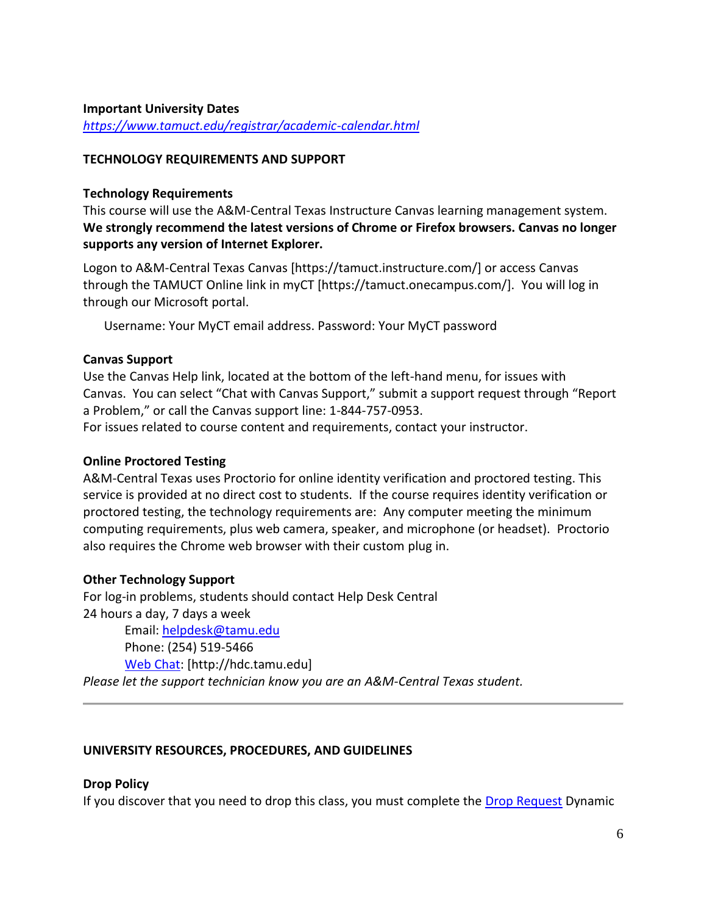#### **Important University Dates**

*<https://www.tamuct.edu/registrar/academic-calendar.html>*

### **TECHNOLOGY REQUIREMENTS AND SUPPORT**

#### **Technology Requirements**

This course will use the A&M-Central Texas Instructure Canvas learning management system. **We strongly recommend the latest versions of Chrome or Firefox browsers. Canvas no longer supports any version of Internet Explorer.**

Logon to A&M-Central Texas Canvas [https://tamuct.instructure.com/] or access Canvas through the TAMUCT Online link in myCT [https://tamuct.onecampus.com/]. You will log in through our Microsoft portal.

Username: Your MyCT email address. Password: Your MyCT password

### **Canvas Support**

Use the Canvas Help link, located at the bottom of the left-hand menu, for issues with Canvas. You can select "Chat with Canvas Support," submit a support request through "Report a Problem," or call the Canvas support line: 1-844-757-0953.

For issues related to course content and requirements, contact your instructor.

### **Online Proctored Testing**

A&M-Central Texas uses Proctorio for online identity verification and proctored testing. This service is provided at no direct cost to students. If the course requires identity verification or proctored testing, the technology requirements are: Any computer meeting the minimum computing requirements, plus web camera, speaker, and microphone (or headset). Proctorio also requires the Chrome web browser with their custom plug in.

### **Other Technology Support**

For log-in problems, students should contact Help Desk Central 24 hours a day, 7 days a week

Email: [helpdesk@tamu.edu](mailto:helpdesk@tamu.edu) Phone: (254) 519-5466 [Web Chat:](http://hdc.tamu.edu/) [http://hdc.tamu.edu] *Please let the support technician know you are an A&M-Central Texas student.*

### **UNIVERSITY RESOURCES, PROCEDURES, AND GUIDELINES**

### **Drop Policy**

If you discover that you need to drop this class, you must complete the [Drop Request](file:///D:/MONE/texas%20A&M/texas%20A&M/2022%20Summer%20Animal%20Behavior/%5bhttps:/federation.ngwebsolutions.com/sp/startSSO.ping?PartnerIdpId=https://eis-prod.ec.tamuct.edu:443/samlsso&SpSessionAuthnAdapterId=tamuctDF&TargetResource=https://dynamicforms.ngwebsolutions.com/Submit/Start/53b8369e-0502-4f36-be43-f02a4202f612%5d.) Dynamic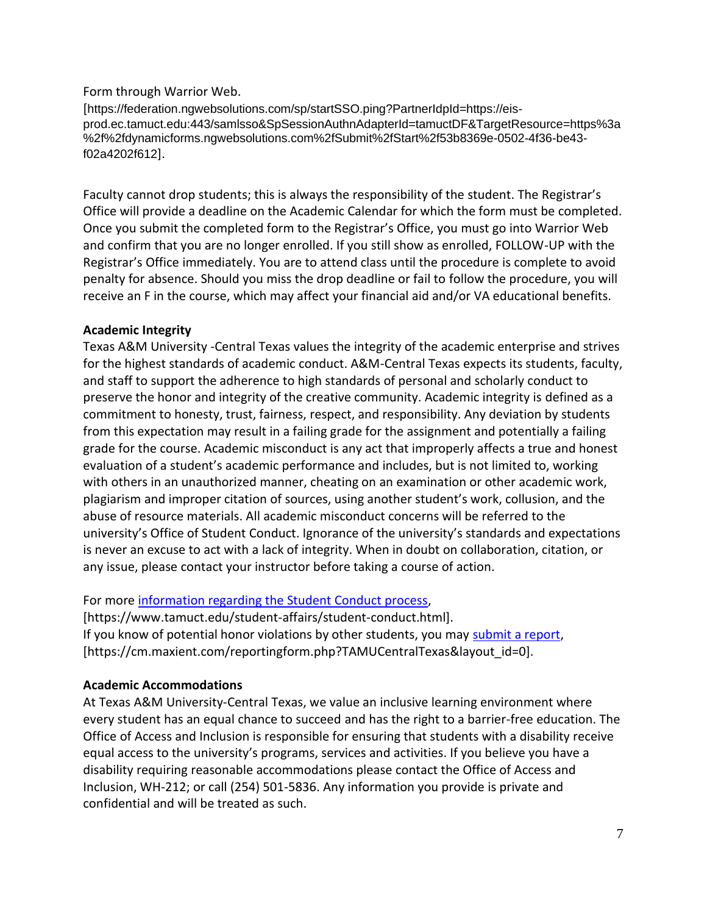### Form through Warrior Web.

[https://federation.ngwebsolutions.com/sp/startSSO.ping?PartnerIdpId=https://eisprod.ec.tamuct.edu:443/samlsso&SpSessionAuthnAdapterId=tamuctDF&TargetResource=https%3a %2f%2fdynamicforms.ngwebsolutions.com%2fSubmit%2fStart%2f53b8369e-0502-4f36-be43 f02a4202f612].

Faculty cannot drop students; this is always the responsibility of the student. The Registrar's Office will provide a deadline on the Academic Calendar for which the form must be completed. Once you submit the completed form to the Registrar's Office, you must go into Warrior Web and confirm that you are no longer enrolled. If you still show as enrolled, FOLLOW-UP with the Registrar's Office immediately. You are to attend class until the procedure is complete to avoid penalty for absence. Should you miss the drop deadline or fail to follow the procedure, you will receive an F in the course, which may affect your financial aid and/or VA educational benefits.

### **Academic Integrity**

Texas A&M University -Central Texas values the integrity of the academic enterprise and strives for the highest standards of academic conduct. A&M-Central Texas expects its students, faculty, and staff to support the adherence to high standards of personal and scholarly conduct to preserve the honor and integrity of the creative community. Academic integrity is defined as a commitment to honesty, trust, fairness, respect, and responsibility. Any deviation by students from this expectation may result in a failing grade for the assignment and potentially a failing grade for the course. Academic misconduct is any act that improperly affects a true and honest evaluation of a student's academic performance and includes, but is not limited to, working with others in an unauthorized manner, cheating on an examination or other academic work, plagiarism and improper citation of sources, using another student's work, collusion, and the abuse of resource materials. All academic misconduct concerns will be referred to the university's Office of Student Conduct. Ignorance of the university's standards and expectations is never an excuse to act with a lack of integrity. When in doubt on collaboration, citation, or any issue, please contact your instructor before taking a course of action.

For more [information regarding the Student Conduct process,](https://www.tamuct.edu/student-affairs/student-conduct.html)

[https://www.tamuct.edu/student-affairs/student-conduct.html]. If you know of potential honor violations by other students, you may [submit a report,](https://cm.maxient.com/reportingform.php?TAMUCentralTexas&layout_id=0) [https://cm.maxient.com/reportingform.php?TAMUCentralTexas&layout\_id=0].

# **Academic Accommodations**

At Texas A&M University-Central Texas, we value an inclusive learning environment where every student has an equal chance to succeed and has the right to a barrier-free education. The Office of Access and Inclusion is responsible for ensuring that students with a disability receive equal access to the university's programs, services and activities. If you believe you have a disability requiring reasonable accommodations please contact the Office of Access and Inclusion, WH-212; or call (254) 501-5836. Any information you provide is private and confidential and will be treated as such.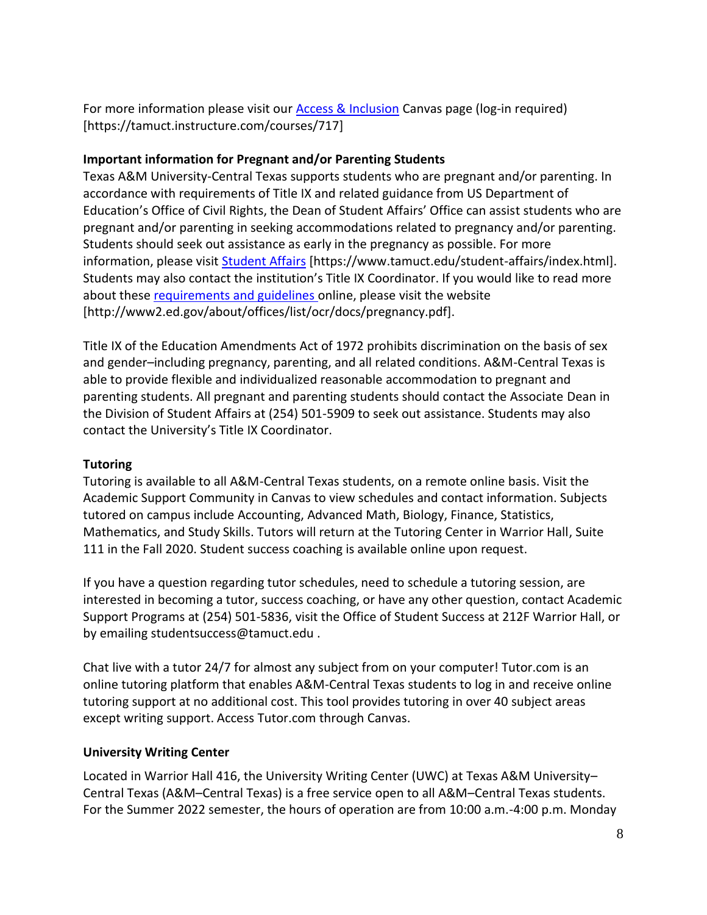For more information please visit our **Access & Inclusion** Canvas page (log-in required) [https://tamuct.instructure.com/courses/717]

# **Important information for Pregnant and/or Parenting Students**

Texas A&M University-Central Texas supports students who are pregnant and/or parenting. In accordance with requirements of Title IX and related guidance from US Department of Education's Office of Civil Rights, the Dean of Student Affairs' Office can assist students who are pregnant and/or parenting in seeking accommodations related to pregnancy and/or parenting. Students should seek out assistance as early in the pregnancy as possible. For more information, please visit [Student Affairs](https://www.tamuct.edu/student-affairs/index.html) [https://www.tamuct.edu/student-affairs/index.html]. Students may also contact the institution's Title IX Coordinator. If you would like to read more about these [requirements and guidelines](http://www2.ed.gov/about/offices/list/ocr/docs/pregnancy.pdf) online, please visit the website [http://www2.ed.gov/about/offices/list/ocr/docs/pregnancy.pdf].

Title IX of the Education Amendments Act of 1972 prohibits discrimination on the basis of sex and gender–including pregnancy, parenting, and all related conditions. A&M-Central Texas is able to provide flexible and individualized reasonable accommodation to pregnant and parenting students. All pregnant and parenting students should contact the Associate Dean in the Division of Student Affairs at (254) 501-5909 to seek out assistance. Students may also contact the University's Title IX Coordinator.

# **Tutoring**

Tutoring is available to all A&M-Central Texas students, on a remote online basis. Visit the Academic Support Community in Canvas to view schedules and contact information. Subjects tutored on campus include Accounting, Advanced Math, Biology, Finance, Statistics, Mathematics, and Study Skills. Tutors will return at the Tutoring Center in Warrior Hall, Suite 111 in the Fall 2020. Student success coaching is available online upon request.

If you have a question regarding tutor schedules, need to schedule a tutoring session, are interested in becoming a tutor, success coaching, or have any other question, contact Academic Support Programs at (254) 501-5836, visit the Office of Student Success at 212F Warrior Hall, or by emailing studentsuccess@tamuct.edu .

Chat live with a tutor 24/7 for almost any subject from on your computer! Tutor.com is an online tutoring platform that enables A&M-Central Texas students to log in and receive online tutoring support at no additional cost. This tool provides tutoring in over 40 subject areas except writing support. Access Tutor.com through Canvas.

# **University Writing Center**

Located in Warrior Hall 416, the University Writing Center (UWC) at Texas A&M University– Central Texas (A&M–Central Texas) is a free service open to all A&M–Central Texas students. For the Summer 2022 semester, the hours of operation are from 10:00 a.m.-4:00 p.m. Monday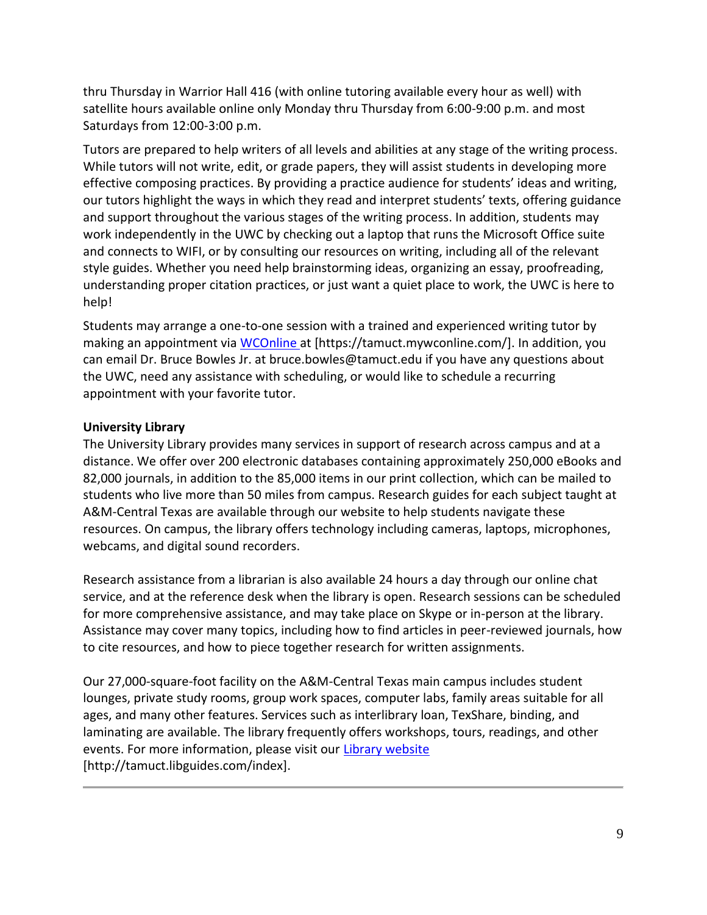thru Thursday in Warrior Hall 416 (with online tutoring available every hour as well) with satellite hours available online only Monday thru Thursday from 6:00-9:00 p.m. and most Saturdays from 12:00-3:00 p.m.

Tutors are prepared to help writers of all levels and abilities at any stage of the writing process. While tutors will not write, edit, or grade papers, they will assist students in developing more effective composing practices. By providing a practice audience for students' ideas and writing, our tutors highlight the ways in which they read and interpret students' texts, offering guidance and support throughout the various stages of the writing process. In addition, students may work independently in the UWC by checking out a laptop that runs the Microsoft Office suite and connects to WIFI, or by consulting our resources on writing, including all of the relevant style guides. Whether you need help brainstorming ideas, organizing an essay, proofreading, understanding proper citation practices, or just want a quiet place to work, the UWC is here to help!

Students may arrange a one-to-one session with a trained and experienced writing tutor by making an appointment via [WCOnline](https://tamuct.mywconline.com/) at [https://tamuct.mywconline.com/]. In addition, you can email Dr. Bruce Bowles Jr. at bruce.bowles@tamuct.edu if you have any questions about the UWC, need any assistance with scheduling, or would like to schedule a recurring appointment with your favorite tutor.

# **University Library**

The University Library provides many services in support of research across campus and at a distance. We offer over 200 electronic databases containing approximately 250,000 eBooks and 82,000 journals, in addition to the 85,000 items in our print collection, which can be mailed to students who live more than 50 miles from campus. Research guides for each subject taught at A&M-Central Texas are available through our website to help students navigate these resources. On campus, the library offers technology including cameras, laptops, microphones, webcams, and digital sound recorders.

Research assistance from a librarian is also available 24 hours a day through our online chat service, and at the reference desk when the library is open. Research sessions can be scheduled for more comprehensive assistance, and may take place on Skype or in-person at the library. Assistance may cover many topics, including how to find articles in peer-reviewed journals, how to cite resources, and how to piece together research for written assignments.

Our 27,000-square-foot facility on the A&M-Central Texas main campus includes student lounges, private study rooms, group work spaces, computer labs, family areas suitable for all ages, and many other features. Services such as interlibrary loan, TexShare, binding, and laminating are available. The library frequently offers workshops, tours, readings, and other events. For more information, please visit our [Library website](https://tamuct.libguides.com/index) [http://tamuct.libguides.com/index].